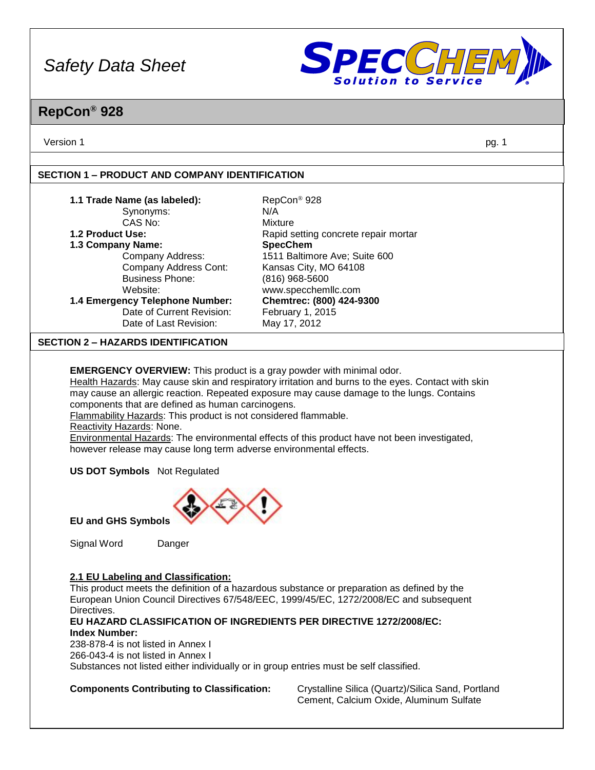

### **RepCon® 928**

Version 1 pg. 1

#### **SECTION 1 – PRODUCT AND COMPANY IDENTIFICATION**

| 1.1 Trade Name (as labeled):                                                | RepCon <sup>®</sup> 928                                                                             |
|-----------------------------------------------------------------------------|-----------------------------------------------------------------------------------------------------|
| Synonyms:                                                                   | N/A                                                                                                 |
| CAS No:                                                                     | Mixture                                                                                             |
| 1.2 Product Use:                                                            | Rapid setting concrete repair mortar                                                                |
| 1.3 Company Name:                                                           | <b>SpecChem</b>                                                                                     |
| Company Address:                                                            | 1511 Baltimore Ave; Suite 600                                                                       |
| Company Address Cont:                                                       | Kansas City, MO 64108                                                                               |
| <b>Business Phone:</b>                                                      | $(816)$ 968-5600                                                                                    |
| Website:                                                                    | www.specchemllc.com                                                                                 |
| 1.4 Emergency Telephone Number:                                             | Chemtrec: (800) 424-9300                                                                            |
| Date of Current Revision:                                                   | February 1, 2015                                                                                    |
| Date of Last Revision:                                                      | May 17, 2012                                                                                        |
| <b>SECTION 2 – HAZARDS IDENTIFICATION</b>                                   |                                                                                                     |
|                                                                             |                                                                                                     |
| <b>EMERGENCY OVERVIEW:</b> This product is a gray powder with minimal odor. |                                                                                                     |
|                                                                             | Health Hazards: May cause skin and respiratory irritation and burns to the eyes. Contact with skin  |
|                                                                             | may cause an allergic reaction. Repeated exposure may cause damage to the lungs. Contains           |
| components that are defined as human carcinogens.                           |                                                                                                     |
| Flammability Hazards: This product is not considered flammable.             |                                                                                                     |
| Reactivity Hazards: None.                                                   |                                                                                                     |
|                                                                             | <b>Environmental Hazards:</b> The environmental effects of this product have not been investigated, |
| however release may cause long term adverse environmental effects.          |                                                                                                     |
|                                                                             |                                                                                                     |
| <b>US DOT Symbols</b> Not Regulated                                         |                                                                                                     |



**EU and GHS Symbols**

Signal Word Danger

#### **2.1 EU Labeling and Classification:**

This product meets the definition of a hazardous substance or preparation as defined by the European Union Council Directives 67/548/EEC, 1999/45/EC, 1272/2008/EC and subsequent Directives.

#### **EU HAZARD CLASSIFICATION OF INGREDIENTS PER DIRECTIVE 1272/2008/EC: Index Number:**

238-878-4 is not listed in Annex I 266-043-4 is not listed in Annex I Substances not listed either individually or in group entries must be self classified.

**Components Contributing to Classification:** Crystalline Silica (Quartz)/Silica Sand, Portland Cement, Calcium Oxide, Aluminum Sulfate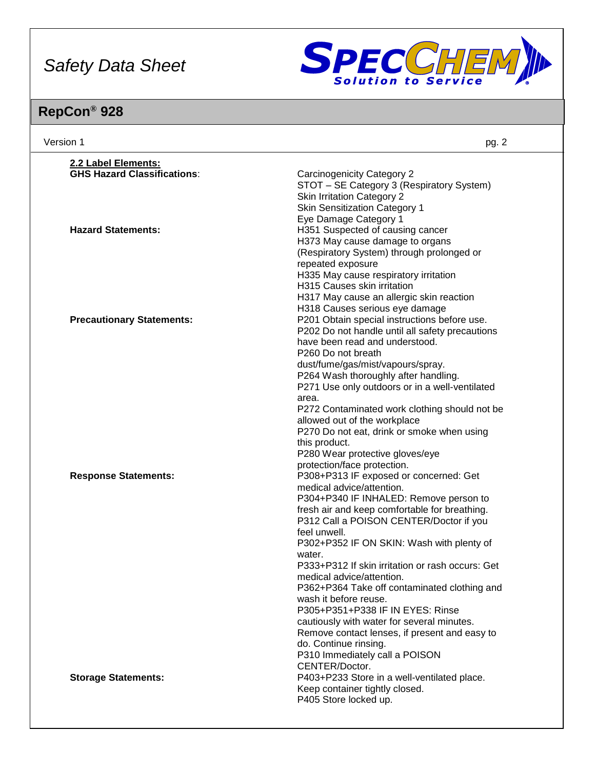

| Version 1                          | pg. 2                                                                      |
|------------------------------------|----------------------------------------------------------------------------|
| 2.2 Label Elements:                |                                                                            |
| <b>GHS Hazard Classifications:</b> | <b>Carcinogenicity Category 2</b>                                          |
|                                    | STOT - SE Category 3 (Respiratory System)                                  |
|                                    | <b>Skin Irritation Category 2</b>                                          |
|                                    | <b>Skin Sensitization Category 1</b>                                       |
|                                    | Eye Damage Category 1                                                      |
| <b>Hazard Statements:</b>          | H351 Suspected of causing cancer                                           |
|                                    | H373 May cause damage to organs                                            |
|                                    | (Respiratory System) through prolonged or                                  |
|                                    | repeated exposure                                                          |
|                                    | H335 May cause respiratory irritation<br>H315 Causes skin irritation       |
|                                    |                                                                            |
|                                    | H317 May cause an allergic skin reaction<br>H318 Causes serious eye damage |
| <b>Precautionary Statements:</b>   | P201 Obtain special instructions before use.                               |
|                                    | P202 Do not handle until all safety precautions                            |
|                                    | have been read and understood.                                             |
|                                    | P260 Do not breath                                                         |
|                                    | dust/fume/gas/mist/vapours/spray.                                          |
|                                    | P264 Wash thoroughly after handling.                                       |
|                                    | P271 Use only outdoors or in a well-ventilated                             |
|                                    | area.                                                                      |
|                                    | P272 Contaminated work clothing should not be                              |
|                                    | allowed out of the workplace                                               |
|                                    | P270 Do not eat, drink or smoke when using                                 |
|                                    | this product.                                                              |
|                                    | P280 Wear protective gloves/eye                                            |
|                                    | protection/face protection.                                                |
| <b>Response Statements:</b>        | P308+P313 IF exposed or concerned: Get                                     |
|                                    | medical advice/attention.<br>P304+P340 IF INHALED: Remove person to        |
|                                    | fresh air and keep comfortable for breathing.                              |
|                                    | P312 Call a POISON CENTER/Doctor if you                                    |
|                                    | feel unwell.                                                               |
|                                    | P302+P352 IF ON SKIN: Wash with plenty of                                  |
|                                    | water.                                                                     |
|                                    | P333+P312 If skin irritation or rash occurs: Get                           |
|                                    | medical advice/attention.                                                  |
|                                    | P362+P364 Take off contaminated clothing and                               |
|                                    | wash it before reuse.                                                      |
|                                    | P305+P351+P338 IF IN EYES: Rinse                                           |
|                                    | cautiously with water for several minutes.                                 |
|                                    | Remove contact lenses, if present and easy to                              |
|                                    | do. Continue rinsing.                                                      |
|                                    | P310 Immediately call a POISON                                             |
|                                    | CENTER/Doctor.<br>P403+P233 Store in a well-ventilated place.              |
| <b>Storage Statements:</b>         | Keep container tightly closed.                                             |
|                                    | P405 Store locked up.                                                      |
|                                    |                                                                            |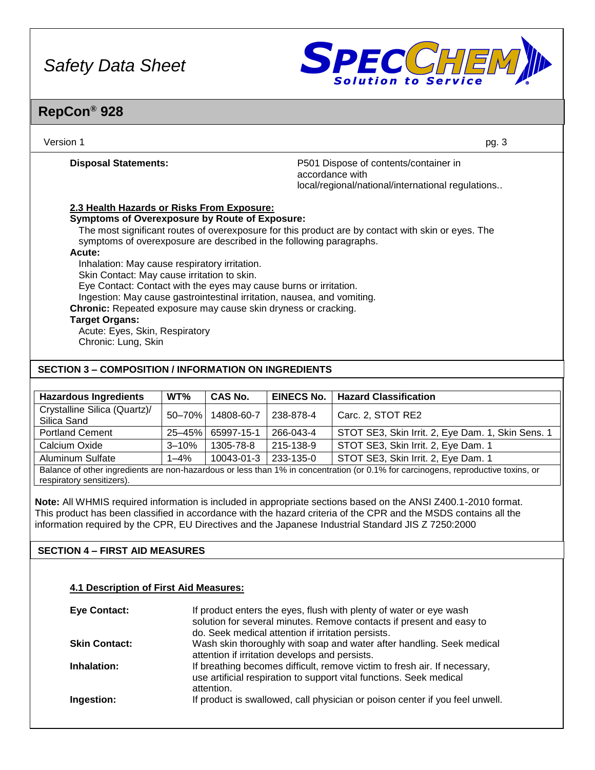

### **RepCon® 928**

| Version 1                                                                                                                                                                                                                                                                                                                                                                                                                                                                                                                                                                                                                                                                                             | pg. 3                                                                                                         |
|-------------------------------------------------------------------------------------------------------------------------------------------------------------------------------------------------------------------------------------------------------------------------------------------------------------------------------------------------------------------------------------------------------------------------------------------------------------------------------------------------------------------------------------------------------------------------------------------------------------------------------------------------------------------------------------------------------|---------------------------------------------------------------------------------------------------------------|
| <b>Disposal Statements:</b>                                                                                                                                                                                                                                                                                                                                                                                                                                                                                                                                                                                                                                                                           | P501 Dispose of contents/container in<br>accordance with<br>local/regional/national/international regulations |
| 2.3 Health Hazards or Risks From Exposure:<br><b>Symptoms of Overexposure by Route of Exposure:</b><br>The most significant routes of overexposure for this product are by contact with skin or eyes. The<br>symptoms of overexposure are described in the following paragraphs.<br>Acute:<br>Inhalation: May cause respiratory irritation.<br>Skin Contact: May cause irritation to skin.<br>Eye Contact: Contact with the eyes may cause burns or irritation.<br>Ingestion: May cause gastrointestinal irritation, nausea, and vomiting.<br><b>Chronic:</b> Repeated exposure may cause skin dryness or cracking.<br><b>Target Organs:</b><br>Acute: Eyes, Skin, Respiratory<br>Chronic: Lung, Skin |                                                                                                               |
| <b>SECTION 3 – COMPOSITION / INFORMATION ON INGREDIENTS</b>                                                                                                                                                                                                                                                                                                                                                                                                                                                                                                                                                                                                                                           |                                                                                                               |

| <b>Hazardous Ingredients</b>                                                                                                      | WT%        | <b>CAS No.</b> | <b>EINECS No.</b>                   | <b>Hazard Classification</b>                      |
|-----------------------------------------------------------------------------------------------------------------------------------|------------|----------------|-------------------------------------|---------------------------------------------------|
| Crystalline Silica (Quartz)/                                                                                                      | 50-70%     | 14808-60-7     | 238-878-4                           | Carc. 2, STOT RE2                                 |
| Silica Sand                                                                                                                       |            |                |                                     |                                                   |
| <b>Portland Cement</b>                                                                                                            | $25 - 45%$ | 65997-15-1     | 266-043-4                           | STOT SE3, Skin Irrit. 2, Eye Dam. 1, Skin Sens. 1 |
| Calcium Oxide<br>215-138-9<br>1305-78-8<br>$3 - 10%$                                                                              |            |                | STOT SE3, Skin Irrit. 2, Eye Dam. 1 |                                                   |
| Aluminum Sulfate                                                                                                                  | $1 - 4\%$  | 10043-01-3     | 233-135-0                           | STOT SE3, Skin Irrit. 2, Eye Dam. 1               |
| Balance of other ingredients are non-hazardous or less than 1% in concentration (or 0.1% for carcinogens, reproductive toxins, or |            |                |                                     |                                                   |

respiratory sensitizers).

**Note:** All WHMIS required information is included in appropriate sections based on the ANSI Z400.1-2010 format. This product has been classified in accordance with the hazard criteria of the CPR and the MSDS contains all the information required by the CPR, EU Directives and the Japanese Industrial Standard JIS Z 7250:2000

#### **SECTION 4 – FIRST AID MEASURES**

#### **4.1 Description of First Aid Measures:**

| Eye Contact:         | If product enters the eyes, flush with plenty of water or eye wash<br>solution for several minutes. Remove contacts if present and easy to<br>do. Seek medical attention if irritation persists. |
|----------------------|--------------------------------------------------------------------------------------------------------------------------------------------------------------------------------------------------|
| <b>Skin Contact:</b> | Wash skin thoroughly with soap and water after handling. Seek medical<br>attention if irritation develops and persists.                                                                          |
| Inhalation:          | If breathing becomes difficult, remove victim to fresh air. If necessary,<br>use artificial respiration to support vital functions. Seek medical<br>attention.                                   |
| Ingestion:           | If product is swallowed, call physician or poison center if you feel unwell.                                                                                                                     |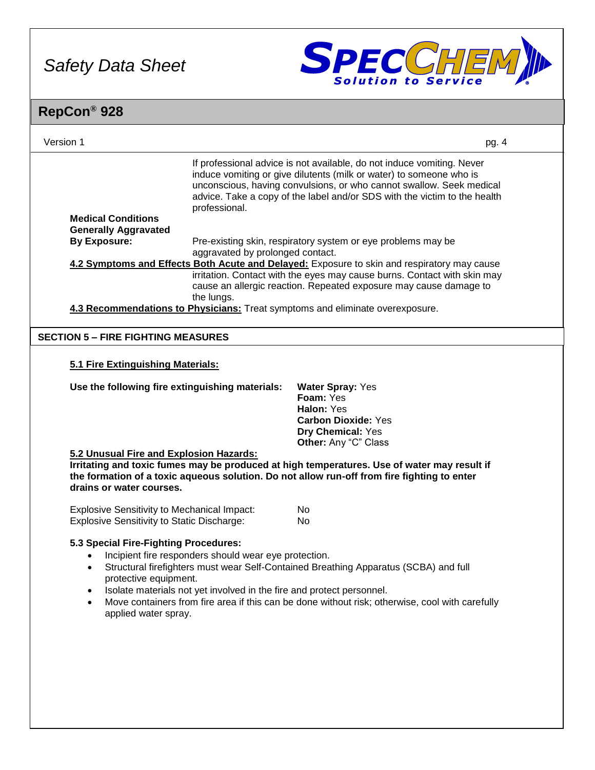

| RepCon <sup>®</sup> 928                                                                                                                                     |                                                       |                                                                                                                                                                                                                                                                                                                             |       |
|-------------------------------------------------------------------------------------------------------------------------------------------------------------|-------------------------------------------------------|-----------------------------------------------------------------------------------------------------------------------------------------------------------------------------------------------------------------------------------------------------------------------------------------------------------------------------|-------|
| Version 1                                                                                                                                                   |                                                       |                                                                                                                                                                                                                                                                                                                             | pg. 4 |
| <b>Medical Conditions</b>                                                                                                                                   | professional.                                         | If professional advice is not available, do not induce vomiting. Never<br>induce vomiting or give dilutents (milk or water) to someone who is<br>unconscious, having convulsions, or who cannot swallow. Seek medical<br>advice. Take a copy of the label and/or SDS with the victim to the health                          |       |
| <b>Generally Aggravated</b><br><b>By Exposure:</b>                                                                                                          |                                                       | Pre-existing skin, respiratory system or eye problems may be                                                                                                                                                                                                                                                                |       |
|                                                                                                                                                             | aggravated by prolonged contact.                      |                                                                                                                                                                                                                                                                                                                             |       |
|                                                                                                                                                             | the lungs.                                            | 4.2 Symptoms and Effects Both Acute and Delayed: Exposure to skin and respiratory may cause<br>irritation. Contact with the eyes may cause burns. Contact with skin may<br>cause an allergic reaction. Repeated exposure may cause damage to                                                                                |       |
|                                                                                                                                                             |                                                       | 4.3 Recommendations to Physicians: Treat symptoms and eliminate overexposure.                                                                                                                                                                                                                                               |       |
| <b>SECTION 5 - FIRE FIGHTING MEASURES</b>                                                                                                                   |                                                       |                                                                                                                                                                                                                                                                                                                             |       |
| 5.1 Fire Extinguishing Materials:<br>Use the following fire extinguishing materials:<br>5.2 Unusual Fire and Explosion Hazards:<br>drains or water courses. |                                                       | <b>Water Spray: Yes</b><br>Foam: Yes<br>Halon: Yes<br><b>Carbon Dioxide: Yes</b><br>Dry Chemical: Yes<br>Other: Any "C" Class<br>Irritating and toxic fumes may be produced at high temperatures. Use of water may result if<br>the formation of a toxic aqueous solution. Do not allow run-off from fire fighting to enter |       |
| <b>Explosive Sensitivity to Mechanical Impact:</b><br><b>Explosive Sensitivity to Static Discharge:</b>                                                     |                                                       | No.<br>No                                                                                                                                                                                                                                                                                                                   |       |
| 5.3 Special Fire-Fighting Procedures:<br>$\bullet$<br>protective equipment.<br>$\bullet$<br>$\bullet$<br>applied water spray.                               | Incipient fire responders should wear eye protection. | Structural firefighters must wear Self-Contained Breathing Apparatus (SCBA) and full<br>Isolate materials not yet involved in the fire and protect personnel.<br>Move containers from fire area if this can be done without risk; otherwise, cool with carefully                                                            |       |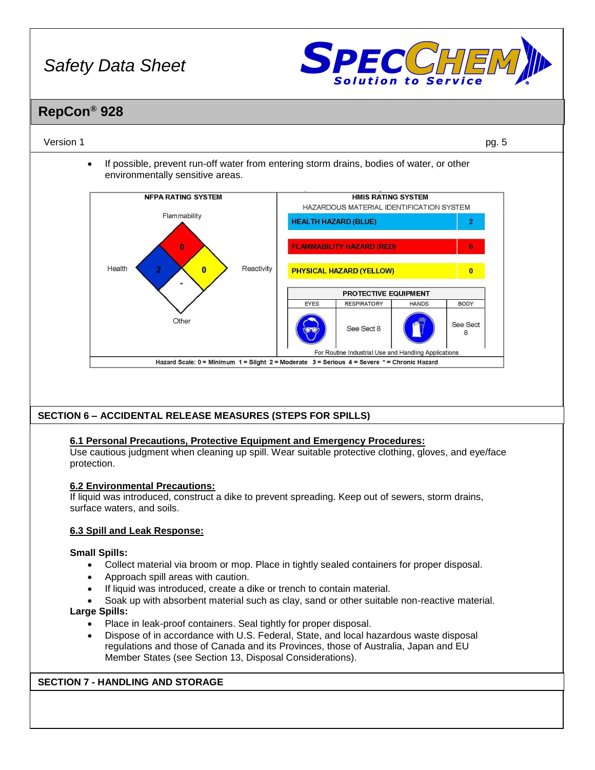

### **RepCon® 928**

#### Version 1 pg. 5

• If possible, prevent run-off water from entering storm drains, bodies of water, or other environmentally sensitive areas.



#### **SECTION 6 – ACCIDENTAL RELEASE MEASURES (STEPS FOR SPILLS)**

#### **6.1 Personal Precautions, Protective Equipment and Emergency Procedures:**

Use cautious judgment when cleaning up spill. Wear suitable protective clothing, gloves, and eye/face protection.

#### **6.2 Environmental Precautions:**

If liquid was introduced, construct a dike to prevent spreading. Keep out of sewers, storm drains, surface waters, and soils.

#### **6.3 Spill and Leak Response:**

#### **Small Spills:**

- Collect material via broom or mop. Place in tightly sealed containers for proper disposal.
- Approach spill areas with caution.
- If liquid was introduced, create a dike or trench to contain material.
- Soak up with absorbent material such as clay, sand or other suitable non-reactive material.

#### **Large Spills:**

- Place in leak-proof containers. Seal tightly for proper disposal.
- Dispose of in accordance with U.S. Federal, State, and local hazardous waste disposal regulations and those of Canada and its Provinces, those of Australia, Japan and EU Member States (see Section 13, Disposal Considerations).

#### **SECTION 7 - HANDLING AND STORAGE**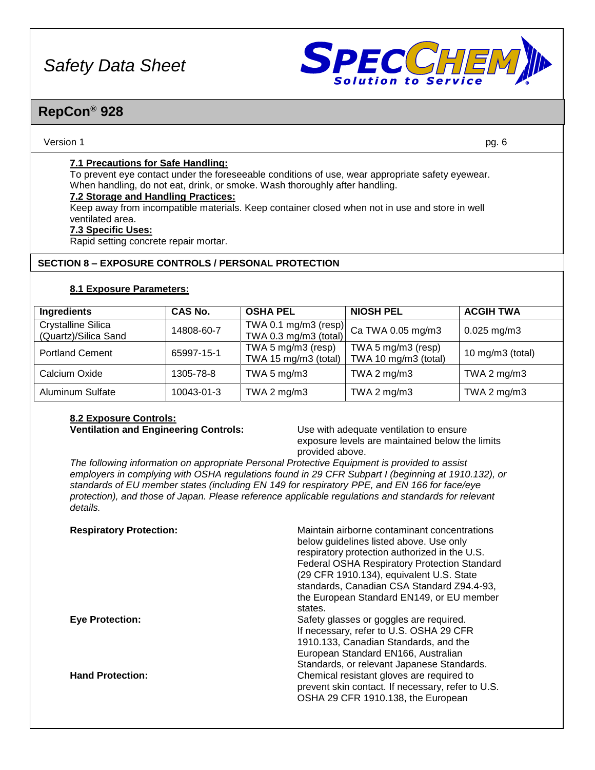

### **RepCon® 928**

#### Version 1 pg. 6

#### **7.1 Precautions for Safe Handling:**

To prevent eye contact under the foreseeable conditions of use, wear appropriate safety eyewear. When handling, do not eat, drink, or smoke. Wash thoroughly after handling.

#### **7.2 Storage and Handling Practices:**

Keep away from incompatible materials. Keep container closed when not in use and store in well ventilated area.

#### **7.3 Specific Uses:**

Rapid setting concrete repair mortar.

#### **SECTION 8 – EXPOSURE CONTROLS / PERSONAL PROTECTION**

#### **8.1 Exposure Parameters:**

| <b>Ingredients</b>                                | CAS No.    | <b>OSHA PEL</b>                               | <b>NIOSH PEL</b>                           | <b>ACGIH TWA</b> |
|---------------------------------------------------|------------|-----------------------------------------------|--------------------------------------------|------------------|
| <b>Crystalline Silica</b><br>(Quartz)/Silica Sand | 14808-60-7 | TWA 0.1 mg/m3 (resp)<br>TWA 0.3 mg/m3 (total) | Ca TWA 0.05 mg/m3                          | $0.025$ mg/m3    |
| <b>Portland Cement</b>                            | 65997-15-1 | TWA 5 mg/m3 (resp)<br>TWA 15 mg/m3 (total)    | TWA 5 mg/m3 (resp)<br>TWA 10 mg/m3 (total) | 10 mg/m3 (total) |
| Calcium Oxide                                     | 1305-78-8  | TWA 5 $mg/m3$                                 | TWA 2 $mg/m3$                              | TWA 2 $mg/m3$    |
| <b>Aluminum Sulfate</b>                           | 10043-01-3 | TWA 2 $mg/m3$                                 | TWA 2 $mg/m3$                              | TWA 2 $mg/m3$    |

## **8.2 Exposure Controls:**

**Ventilation and Engineering Controls:** Use with adequate ventilation to ensure exposure levels are maintained below the limits provided above.

*The following information on appropriate Personal Protective Equipment is provided to assist employers in complying with OSHA regulations found in 29 CFR Subpart I (beginning at 1910.132), or standards of EU member states (including EN 149 for respiratory PPE, and EN 166 for face/eye protection), and those of Japan. Please reference applicable regulations and standards for relevant details.*

| <b>Respiratory Protection:</b> | Maintain airborne contaminant concentrations<br>below guidelines listed above. Use only<br>respiratory protection authorized in the U.S.<br>Federal OSHA Respiratory Protection Standard<br>(29 CFR 1910.134), equivalent U.S. State<br>standards, Canadian CSA Standard Z94.4-93,<br>the European Standard EN149, or EU member<br>states. |
|--------------------------------|--------------------------------------------------------------------------------------------------------------------------------------------------------------------------------------------------------------------------------------------------------------------------------------------------------------------------------------------|
| <b>Eye Protection:</b>         | Safety glasses or goggles are required.<br>If necessary, refer to U.S. OSHA 29 CFR<br>1910.133, Canadian Standards, and the<br>European Standard EN166, Australian<br>Standards, or relevant Japanese Standards.                                                                                                                           |
| <b>Hand Protection:</b>        | Chemical resistant gloves are required to<br>prevent skin contact. If necessary, refer to U.S.<br>OSHA 29 CFR 1910.138, the European                                                                                                                                                                                                       |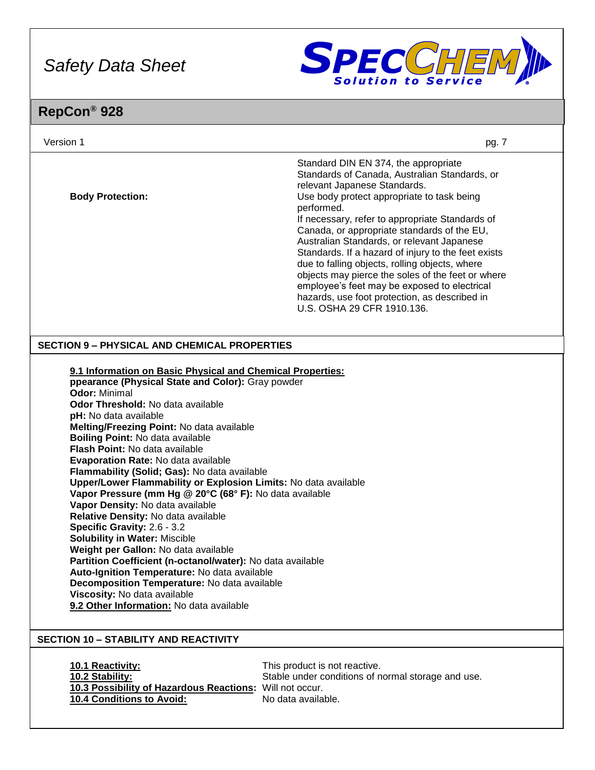

| Version 1                                                                                                                                                                                                                                                                                                                                                                                                                                                                                                                                                                                                                                                                                                                                                                                                                                                                                                                                                                                       | pg. 7                                                                                                                                                                                                                                                                                                                                                                                                                                                                                                                                                                                                                          |
|-------------------------------------------------------------------------------------------------------------------------------------------------------------------------------------------------------------------------------------------------------------------------------------------------------------------------------------------------------------------------------------------------------------------------------------------------------------------------------------------------------------------------------------------------------------------------------------------------------------------------------------------------------------------------------------------------------------------------------------------------------------------------------------------------------------------------------------------------------------------------------------------------------------------------------------------------------------------------------------------------|--------------------------------------------------------------------------------------------------------------------------------------------------------------------------------------------------------------------------------------------------------------------------------------------------------------------------------------------------------------------------------------------------------------------------------------------------------------------------------------------------------------------------------------------------------------------------------------------------------------------------------|
| <b>Body Protection:</b>                                                                                                                                                                                                                                                                                                                                                                                                                                                                                                                                                                                                                                                                                                                                                                                                                                                                                                                                                                         | Standard DIN EN 374, the appropriate<br>Standards of Canada, Australian Standards, or<br>relevant Japanese Standards.<br>Use body protect appropriate to task being<br>performed.<br>If necessary, refer to appropriate Standards of<br>Canada, or appropriate standards of the EU,<br>Australian Standards, or relevant Japanese<br>Standards. If a hazard of injury to the feet exists<br>due to falling objects, rolling objects, where<br>objects may pierce the soles of the feet or where<br>employee's feet may be exposed to electrical<br>hazards, use foot protection, as described in<br>U.S. OSHA 29 CFR 1910.136. |
| <b>SECTION 9 - PHYSICAL AND CHEMICAL PROPERTIES</b>                                                                                                                                                                                                                                                                                                                                                                                                                                                                                                                                                                                                                                                                                                                                                                                                                                                                                                                                             |                                                                                                                                                                                                                                                                                                                                                                                                                                                                                                                                                                                                                                |
| 9.1 Information on Basic Physical and Chemical Properties:<br>ppearance (Physical State and Color): Gray powder<br><b>Odor: Minimal</b><br>Odor Threshold: No data available<br>pH: No data available<br>Melting/Freezing Point: No data available<br><b>Boiling Point: No data available</b><br>Flash Point: No data available<br>Evaporation Rate: No data available<br>Flammability (Solid; Gas): No data available<br>Upper/Lower Flammability or Explosion Limits: No data available<br>Vapor Pressure (mm Hg @ 20°C (68° F): No data available<br>Vapor Density: No data available<br>Relative Density: No data available<br>Specific Gravity: 2.6 - 3.2<br><b>Solubility in Water: Miscible</b><br>Weight per Gallon: No data available<br><b>Partition Coefficient (n-octanol/water):</b> No data available<br>Auto-Ignition Temperature: No data available<br>Decomposition Temperature: No data available<br>Viscosity: No data available<br>9.2 Other Information: No data available |                                                                                                                                                                                                                                                                                                                                                                                                                                                                                                                                                                                                                                |
| <b>SECTION 10 - STABILITY AND REACTIVITY</b>                                                                                                                                                                                                                                                                                                                                                                                                                                                                                                                                                                                                                                                                                                                                                                                                                                                                                                                                                    |                                                                                                                                                                                                                                                                                                                                                                                                                                                                                                                                                                                                                                |
| 10.1 Reactivity:<br>10.2 Stability:<br>10.3 Possibility of Hazardous Reactions: Will not occur.<br>10.4 Conditions to Avoid:                                                                                                                                                                                                                                                                                                                                                                                                                                                                                                                                                                                                                                                                                                                                                                                                                                                                    | This product is not reactive.<br>Stable under conditions of normal storage and use.<br>No data available.                                                                                                                                                                                                                                                                                                                                                                                                                                                                                                                      |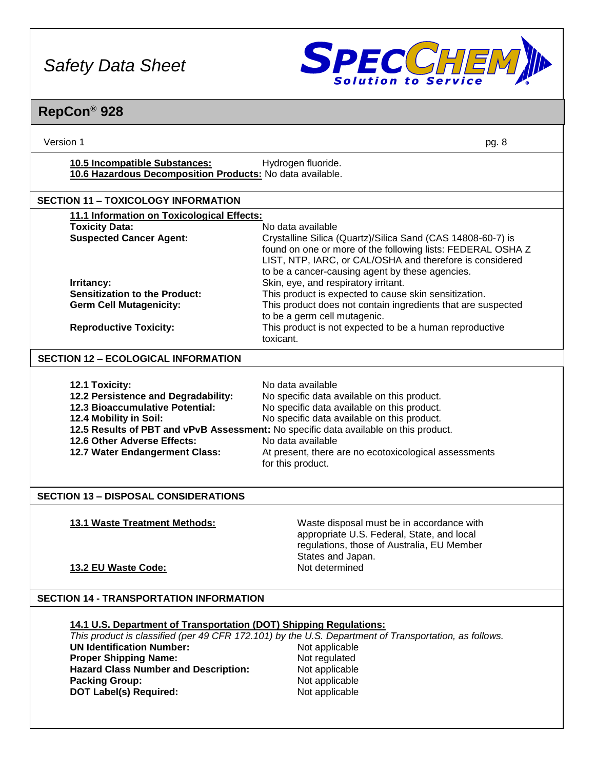

| Version 1                                                                                                                                                                                                                                       | pg. 8                                                                                                                                                                                                                                                                                                                                                     |
|-------------------------------------------------------------------------------------------------------------------------------------------------------------------------------------------------------------------------------------------------|-----------------------------------------------------------------------------------------------------------------------------------------------------------------------------------------------------------------------------------------------------------------------------------------------------------------------------------------------------------|
| 10.5 Incompatible Substances:<br>10.6 Hazardous Decomposition Products: No data available.                                                                                                                                                      | Hydrogen fluoride.                                                                                                                                                                                                                                                                                                                                        |
| <b>SECTION 11 - TOXICOLOGY INFORMATION</b>                                                                                                                                                                                                      |                                                                                                                                                                                                                                                                                                                                                           |
| 11.1 Information on Toxicological Effects:                                                                                                                                                                                                      |                                                                                                                                                                                                                                                                                                                                                           |
| <b>Toxicity Data:</b><br><b>Suspected Cancer Agent:</b>                                                                                                                                                                                         | No data available<br>Crystalline Silica (Quartz)/Silica Sand (CAS 14808-60-7) is<br>found on one or more of the following lists: FEDERAL OSHA Z<br>LIST, NTP, IARC, or CAL/OSHA and therefore is considered<br>to be a cancer-causing agent by these agencies.                                                                                            |
| Irritancy:                                                                                                                                                                                                                                      | Skin, eye, and respiratory irritant.                                                                                                                                                                                                                                                                                                                      |
| <b>Sensitization to the Product:</b><br><b>Germ Cell Mutagenicity:</b>                                                                                                                                                                          | This product is expected to cause skin sensitization.<br>This product does not contain ingredients that are suspected                                                                                                                                                                                                                                     |
|                                                                                                                                                                                                                                                 | to be a germ cell mutagenic.                                                                                                                                                                                                                                                                                                                              |
| <b>Reproductive Toxicity:</b>                                                                                                                                                                                                                   | This product is not expected to be a human reproductive<br>toxicant.                                                                                                                                                                                                                                                                                      |
| <b>SECTION 12 - ECOLOGICAL INFORMATION</b>                                                                                                                                                                                                      |                                                                                                                                                                                                                                                                                                                                                           |
| 12.1 Toxicity:<br>12.2 Persistence and Degradability:<br><b>12.3 Bioaccumulative Potential:</b><br>12.4 Mobility in Soil:<br>12.6 Other Adverse Effects:<br>12.7 Water Endangerment Class:<br><b>SECTION 13 - DISPOSAL CONSIDERATIONS</b>       | No data available<br>No specific data available on this product.<br>No specific data available on this product.<br>No specific data available on this product.<br>12.5 Results of PBT and vPvB Assessment: No specific data available on this product.<br>No data available<br>At present, there are no ecotoxicological assessments<br>for this product. |
| 13.1 Waste Treatment Methods:                                                                                                                                                                                                                   | Waste disposal must be in accordance with<br>appropriate U.S. Federal, State, and local<br>regulations, those of Australia, EU Member<br>States and Japan.                                                                                                                                                                                                |
| 13.2 EU Waste Code:                                                                                                                                                                                                                             | Not determined                                                                                                                                                                                                                                                                                                                                            |
| <b>SECTION 14 - TRANSPORTATION INFORMATION</b>                                                                                                                                                                                                  |                                                                                                                                                                                                                                                                                                                                                           |
| 14.1 U.S. Department of Transportation (DOT) Shipping Regulations:<br><b>UN Identification Number:</b><br><b>Proper Shipping Name:</b><br><b>Hazard Class Number and Description:</b><br><b>Packing Group:</b><br><b>DOT Label(s) Required:</b> | This product is classified (per 49 CFR 172.101) by the U.S. Department of Transportation, as follows.<br>Not applicable<br>Not regulated<br>Not applicable<br>Not applicable<br>Not applicable                                                                                                                                                            |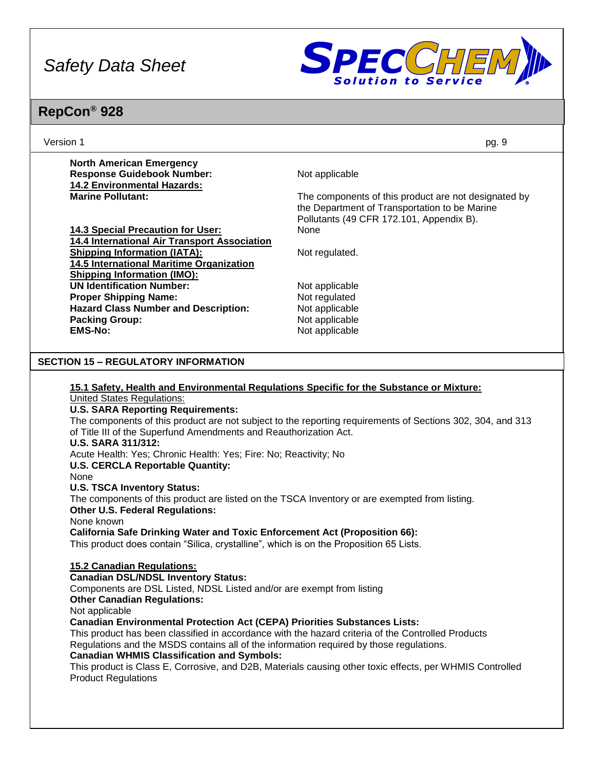

| pg. 9                                                                                                                                                                                                                                                                                                                                                                                                                                                                                                                                                                                                                                                                                                                                                                                                                                                                                                                                                                                                                                                                                                     |
|-----------------------------------------------------------------------------------------------------------------------------------------------------------------------------------------------------------------------------------------------------------------------------------------------------------------------------------------------------------------------------------------------------------------------------------------------------------------------------------------------------------------------------------------------------------------------------------------------------------------------------------------------------------------------------------------------------------------------------------------------------------------------------------------------------------------------------------------------------------------------------------------------------------------------------------------------------------------------------------------------------------------------------------------------------------------------------------------------------------|
|                                                                                                                                                                                                                                                                                                                                                                                                                                                                                                                                                                                                                                                                                                                                                                                                                                                                                                                                                                                                                                                                                                           |
| Not applicable                                                                                                                                                                                                                                                                                                                                                                                                                                                                                                                                                                                                                                                                                                                                                                                                                                                                                                                                                                                                                                                                                            |
|                                                                                                                                                                                                                                                                                                                                                                                                                                                                                                                                                                                                                                                                                                                                                                                                                                                                                                                                                                                                                                                                                                           |
| The components of this product are not designated by                                                                                                                                                                                                                                                                                                                                                                                                                                                                                                                                                                                                                                                                                                                                                                                                                                                                                                                                                                                                                                                      |
| the Department of Transportation to be Marine                                                                                                                                                                                                                                                                                                                                                                                                                                                                                                                                                                                                                                                                                                                                                                                                                                                                                                                                                                                                                                                             |
| Pollutants (49 CFR 172.101, Appendix B).                                                                                                                                                                                                                                                                                                                                                                                                                                                                                                                                                                                                                                                                                                                                                                                                                                                                                                                                                                                                                                                                  |
| None                                                                                                                                                                                                                                                                                                                                                                                                                                                                                                                                                                                                                                                                                                                                                                                                                                                                                                                                                                                                                                                                                                      |
|                                                                                                                                                                                                                                                                                                                                                                                                                                                                                                                                                                                                                                                                                                                                                                                                                                                                                                                                                                                                                                                                                                           |
| Not regulated.                                                                                                                                                                                                                                                                                                                                                                                                                                                                                                                                                                                                                                                                                                                                                                                                                                                                                                                                                                                                                                                                                            |
|                                                                                                                                                                                                                                                                                                                                                                                                                                                                                                                                                                                                                                                                                                                                                                                                                                                                                                                                                                                                                                                                                                           |
| Not applicable                                                                                                                                                                                                                                                                                                                                                                                                                                                                                                                                                                                                                                                                                                                                                                                                                                                                                                                                                                                                                                                                                            |
| Not regulated                                                                                                                                                                                                                                                                                                                                                                                                                                                                                                                                                                                                                                                                                                                                                                                                                                                                                                                                                                                                                                                                                             |
| Not applicable                                                                                                                                                                                                                                                                                                                                                                                                                                                                                                                                                                                                                                                                                                                                                                                                                                                                                                                                                                                                                                                                                            |
| Not applicable                                                                                                                                                                                                                                                                                                                                                                                                                                                                                                                                                                                                                                                                                                                                                                                                                                                                                                                                                                                                                                                                                            |
| Not applicable                                                                                                                                                                                                                                                                                                                                                                                                                                                                                                                                                                                                                                                                                                                                                                                                                                                                                                                                                                                                                                                                                            |
|                                                                                                                                                                                                                                                                                                                                                                                                                                                                                                                                                                                                                                                                                                                                                                                                                                                                                                                                                                                                                                                                                                           |
|                                                                                                                                                                                                                                                                                                                                                                                                                                                                                                                                                                                                                                                                                                                                                                                                                                                                                                                                                                                                                                                                                                           |
| 15.1 Safety, Health and Environmental Regulations Specific for the Substance or Mixture:<br>The components of this product are not subject to the reporting requirements of Sections 302, 304, and 313<br>of Title III of the Superfund Amendments and Reauthorization Act.<br>Acute Health: Yes; Chronic Health: Yes; Fire: No; Reactivity; No<br>The components of this product are listed on the TSCA Inventory or are exempted from listing.<br><b>California Safe Drinking Water and Toxic Enforcement Act (Proposition 66):</b><br>This product does contain "Silica, crystalline", which is on the Proposition 65 Lists.<br>Components are DSL Listed, NDSL Listed and/or are exempt from listing<br><b>Canadian Environmental Protection Act (CEPA) Priorities Substances Lists:</b><br>This product has been classified in accordance with the hazard criteria of the Controlled Products<br>Regulations and the MSDS contains all of the information required by those regulations.<br>This product is Class E, Corrosive, and D2B, Materials causing other toxic effects, per WHMIS Controlled |
|                                                                                                                                                                                                                                                                                                                                                                                                                                                                                                                                                                                                                                                                                                                                                                                                                                                                                                                                                                                                                                                                                                           |